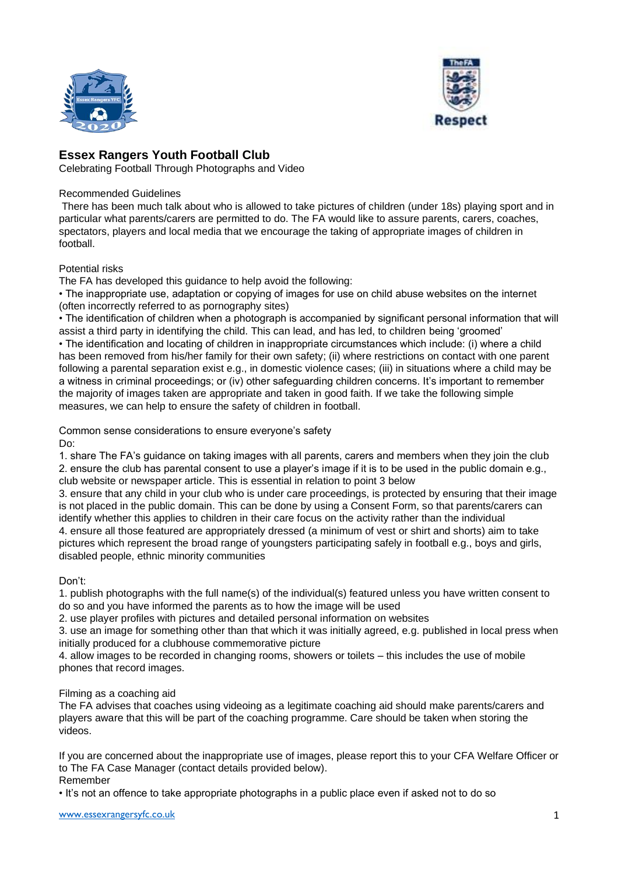



## **Essex Rangers Youth Football Club**

Celebrating Football Through Photographs and Video

## Recommended Guidelines

There has been much talk about who is allowed to take pictures of children (under 18s) playing sport and in particular what parents/carers are permitted to do. The FA would like to assure parents, carers, coaches, spectators, players and local media that we encourage the taking of appropriate images of children in football.

## Potential risks

The FA has developed this guidance to help avoid the following:

• The inappropriate use, adaptation or copying of images for use on child abuse websites on the internet (often incorrectly referred to as pornography sites)

• The identification of children when a photograph is accompanied by significant personal information that will assist a third party in identifying the child. This can lead, and has led, to children being 'groomed' • The identification and locating of children in inappropriate circumstances which include: (i) where a child has been removed from his/her family for their own safety; (ii) where restrictions on contact with one parent following a parental separation exist e.g., in domestic violence cases; (iii) in situations where a child may be a witness in criminal proceedings; or (iv) other safeguarding children concerns. It's important to remember the majority of images taken are appropriate and taken in good faith. If we take the following simple measures, we can help to ensure the safety of children in football.

Common sense considerations to ensure everyone's safety

Do:

1. share The FA's guidance on taking images with all parents, carers and members when they join the club 2. ensure the club has parental consent to use a player's image if it is to be used in the public domain e.g., club website or newspaper article. This is essential in relation to point 3 below

3. ensure that any child in your club who is under care proceedings, is protected by ensuring that their image is not placed in the public domain. This can be done by using a Consent Form, so that parents/carers can identify whether this applies to children in their care focus on the activity rather than the individual 4. ensure all those featured are appropriately dressed (a minimum of vest or shirt and shorts) aim to take pictures which represent the broad range of youngsters participating safely in football e.g., boys and girls, disabled people, ethnic minority communities

Don't:

1. publish photographs with the full name(s) of the individual(s) featured unless you have written consent to do so and you have informed the parents as to how the image will be used

2. use player profiles with pictures and detailed personal information on websites

3. use an image for something other than that which it was initially agreed, e.g. published in local press when initially produced for a clubhouse commemorative picture

4. allow images to be recorded in changing rooms, showers or toilets – this includes the use of mobile phones that record images.

## Filming as a coaching aid

The FA advises that coaches using videoing as a legitimate coaching aid should make parents/carers and players aware that this will be part of the coaching programme. Care should be taken when storing the videos.

If you are concerned about the inappropriate use of images, please report this to your CFA Welfare Officer or to The FA Case Manager (contact details provided below). Remember

• It's not an offence to take appropriate photographs in a public place even if asked not to do so